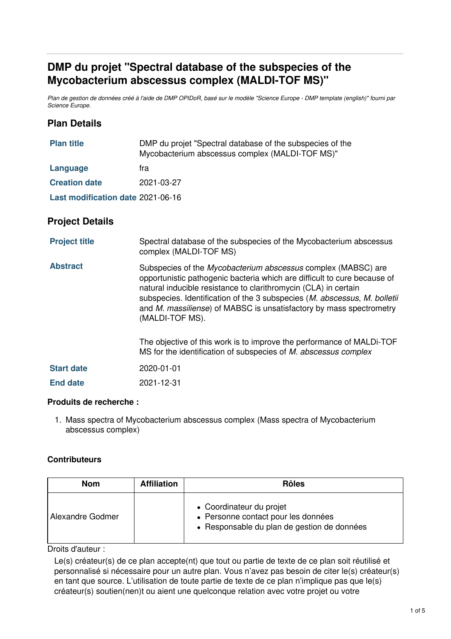# **DMP du projet "Spectral database of the subspecies of the Mycobacterium abscessus complex (MALDI-TOF MS)"**

Plan de gestion de données créé à l'aide de DMP OPIDoR, basé sur le modèle "Science Europe - DMP template (english)" fourni par *Science Europe.*

### **Plan Details**

| <b>Plan title</b>                 | DMP du projet "Spectral database of the subspecies of the<br>Mycobacterium abscessus complex (MALDI-TOF MS)" |  |
|-----------------------------------|--------------------------------------------------------------------------------------------------------------|--|
| Language                          | tra                                                                                                          |  |
| <b>Creation date</b>              | 2021-03-27                                                                                                   |  |
| Last modification date 2021-06-16 |                                                                                                              |  |
|                                   |                                                                                                              |  |

### **Project Details**

| <b>Project title</b> | Spectral database of the subspecies of the Mycobacterium abscessus<br>complex (MALDI-TOF MS)                                                                                                                                                                                                                                                                                                |
|----------------------|---------------------------------------------------------------------------------------------------------------------------------------------------------------------------------------------------------------------------------------------------------------------------------------------------------------------------------------------------------------------------------------------|
| <b>Abstract</b>      | Subspecies of the Mycobacterium abscessus complex (MABSC) are<br>opportunistic pathogenic bacteria which are difficult to cure because of<br>natural inducible resistance to clarithromycin (CLA) in certain<br>subspecies. Identification of the 3 subspecies ( <i>M. abscessus, M. bolletii</i><br>and M. massiliense) of MABSC is unsatisfactory by mass spectrometry<br>(MALDI-TOF MS). |
|                      | The objective of this work is to improve the performance of MALDI-TOF<br>MS for the identification of subspecies of M. abscessus complex                                                                                                                                                                                                                                                    |
| <b>Start date</b>    | 2020-01-01                                                                                                                                                                                                                                                                                                                                                                                  |
| <b>End date</b>      | 2021-12-31                                                                                                                                                                                                                                                                                                                                                                                  |

### **Produits de recherche :**

1. Mass spectra of Mycobacterium abscessus complex (Mass spectra of Mycobacterium abscessus complex)

### **Contributeurs**

| <b>Nom</b>       | <b>Affiliation</b> | <b>Rôles</b>                                                                                                   |
|------------------|--------------------|----------------------------------------------------------------------------------------------------------------|
| Alexandre Godmer |                    | • Coordinateur du projet<br>• Personne contact pour les données<br>• Responsable du plan de gestion de données |

Droits d'auteur :

Le(s) créateur(s) de ce plan accepte(nt) que tout ou partie de texte de ce plan soit réutilisé et personnalisé si nécessaire pour un autre plan. Vous n'avez pas besoin de citer le(s) créateur(s) en tant que source. L'utilisation de toute partie de texte de ce plan n'implique pas que le(s) créateur(s) soutien(nen)t ou aient une quelconque relation avec votre projet ou votre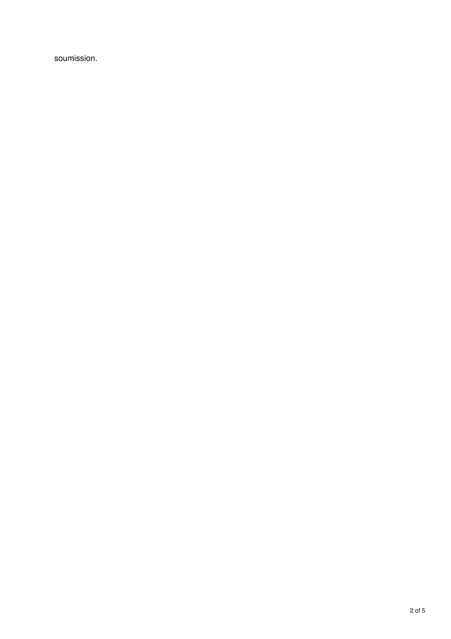soumission.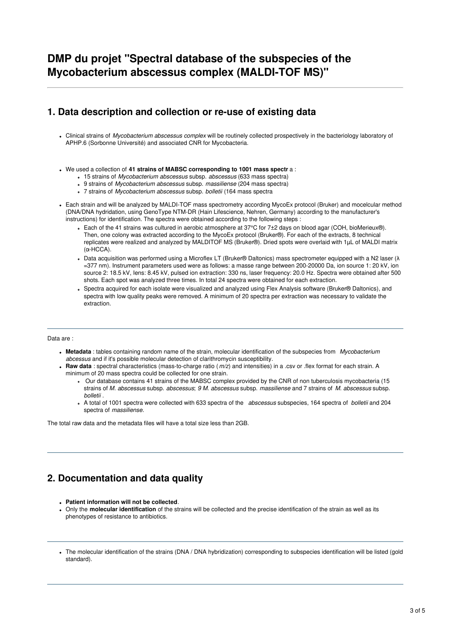### **1. Data description and collection or re-use of existing data**

- Clinical strains of *Mycobacterium abscessus complex* will be routinely collected prospectively in the bacteriology laboratory of APHP.6 (Sorbonne Université) and associated CNR for Mycobacteria.
- We used a collection of **41 strains of MABSC corresponding to 1001 mass spectr** a :
	- 15 strains of *Mycobacterium abscessus* subsp. *abscessus* (633 mass spectra)
	- 9 strains of *Mycobacterium abscessus* subsp. *massiliense* (204 mass spectra)
	- 7 strains of *Mycobacterium abscessus* subsp. *bolletii* (164 mass spectra
- Each strain and will be analyzed by MALDI-TOF mass spectrometry according MycoEx protocol (Bruker) and mocelcular method (DNA/DNA hydridation, using GenoType NTM-DR (Hain Lifescience, Nehren, Germany) according to the manufacturer's instructions) for identification. The spectra were obtained according to the following steps :
	- Each of the 41 strains was cultured in aerobic atmosphere at 37°C for 7±2 days on blood agar (COH, bioMerieux®). Then, one colony was extracted according to the MycoEx protocol (Bruker®). For each of the extracts, 8 technical replicates were realized and analyzed by MALDITOF MS (Bruker®). Dried spots were overlaid with 1µL of MALDI matrix (α-HCCA).
	- Data acquisition was performed using a Microflex LT (Bruker® Daltonics) mass spectrometer equipped with a N2 laser (λ =377 nm). Instrument parameters used were as follows: a masse range between 200-20000 Da, ion source 1: 20 kV, ion source 2: 18.5 kV, Iens: 8.45 kV, pulsed ion extraction: 330 ns, laser frequency: 20.0 Hz. Spectra were obtained after 500 shots. Each spot was analyzed three times. In total 24 spectra were obtained for each extraction.
	- Spectra acquired for each isolate were visualized and analyzed using Flex Analysis software (Bruker® Daltonics), and spectra with low quality peaks were removed. A minimum of 20 spectra per extraction was necessary to validate the extraction.

#### Data are :

- **Metadata** : tables containing random name of the strain, molecular identification of the subspecies from *Mycobacterium abcessus* and if it's possible molecular detection of clarithromycin susceptibility.
- **Raw data** : spectral characteristics (mass-to-charge ratio (*m/z*) and intensities) in a .csv or .flex format for each strain. A minimum of 20 mass spectra could be collected for one strain.
	- Our database contains 41 strains of the MABSC complex provided by the CNR of non tuberculosis mycobacteria (15 strains of *M. abscessus* subsp. *abscessus*; *9 M. abscessus* subsp. *massiliense* and 7 strains of *M. abscessus* subsp. *bolletii* .
	- A total of 1001 spectra were collected with 633 spectra of the *abscessus* subspecies, 164 spectra of *bolletii* and 204 spectra of *massiliense*.

The total raw data and the metadata files will have a total size less than 2GB.

# **2. Documentation and data quality**

- **Patient information will not be collected**.
- Only the **molecular identification** of the strains will be collected and the precise identification of the strain as well as its phenotypes of resistance to antibiotics.
- The molecular identification of the strains (DNA / DNA hybridization) corresponding to subspecies identification will be listed (gold standard).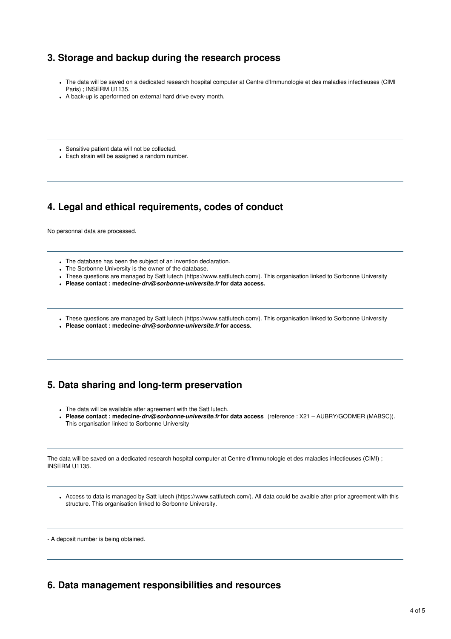## **3. Storage and backup during the research process**

- The data will be saved on a dedicated research hospital computer at Centre d'Immunologie et des maladies infectieuses (CIMI Paris) ; INSERM U1135.
- A back-up is aperformed on external hard drive every month.
- Sensitive patient data will not be collected.
- Each strain will be assigned a random number.

### **4. Legal and ethical requirements, codes of conduct**

No personnal data are processed.

- The database has been the subject of an invention declaration.
- The Sorbonne University is the owner of the database.
- These questions are managed by Satt lutech (https://www.sattlutech.com/). This organisation linked to Sorbonne University
- **Please contact : medecine-***drv***@***sorbonne***-***universite***.***fr* **for data access.**
- These questions are managed by Satt lutech (https://www.sattlutech.com/). This organisation linked to Sorbonne University
- **Please contact : medecine-***drv***@***sorbonne***-***universite***.***fr* **for access.**

### **5. Data sharing and long-term preservation**

- The data will be available after agreement with the Satt lutech.
- **Please contact : medecine-***drv***@***sorbonne***-***universite***.***fr* **for data access** (reference : X21 AUBRY/GODMER (MABSC)). This organisation linked to Sorbonne University

The data will be saved on a dedicated research hospital computer at Centre d'Immunologie et des maladies infectieuses (CIMI) ; INSERM U1135.

Access to data is managed by Satt lutech (https://www.sattlutech.com/). All data could be avaible after prior agreement with this structure. This organisation linked to Sorbonne University.

- A deposit number is being obtained.

### **6. Data management responsibilities and resources**